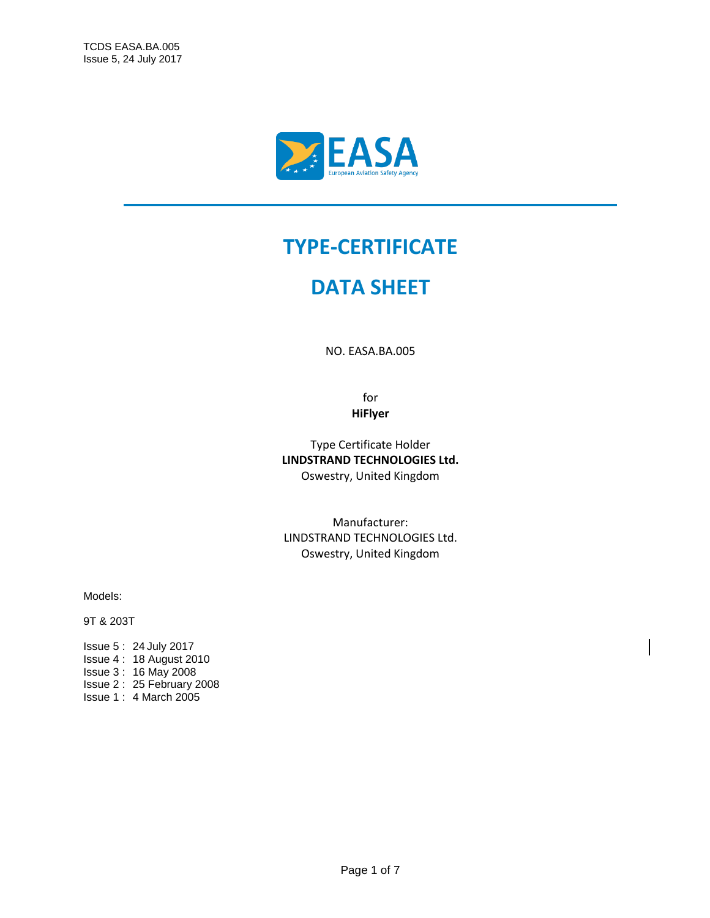

### **TYPE-CERTIFICATE**

## **DATA SHEET**

NO. EASA.BA.005

for **HiFlyer**

Type Certificate Holder **LINDSTRAND TECHNOLOGIES Ltd.** Oswestry, United Kingdom

Manufacturer: LINDSTRAND TECHNOLOGIES Ltd. Oswestry, United Kingdom

Models:

9T & 203T

Issue 5 : 24 July 2017 Issue 4 : 18 August 2010 Issue 3 : 16 May 2008 Issue 2 : 25 February 2008 Issue 1 : 4 March 2005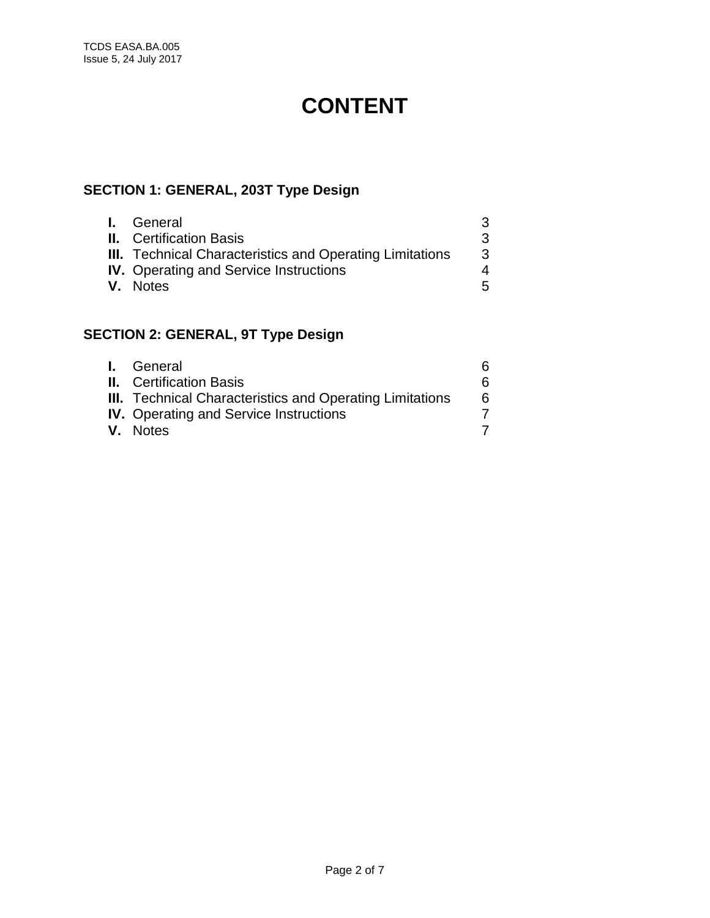# **CONTENT**

### **SECTION 1: GENERAL, 203T Type Design**

| <b>I.</b> General                                               | 3 |
|-----------------------------------------------------------------|---|
| <b>II.</b> Certification Basis                                  | 3 |
| <b>III.</b> Technical Characteristics and Operating Limitations | 3 |
| <b>IV.</b> Operating and Service Instructions                   | 4 |
| V. Notes                                                        | 5 |

### **SECTION 2: GENERAL, 9T Type Design**

| <b>I.</b> General                                               | 6 |
|-----------------------------------------------------------------|---|
| <b>II.</b> Certification Basis                                  | 6 |
| <b>III.</b> Technical Characteristics and Operating Limitations | 6 |
| <b>IV.</b> Operating and Service Instructions                   |   |
| V. Notes                                                        |   |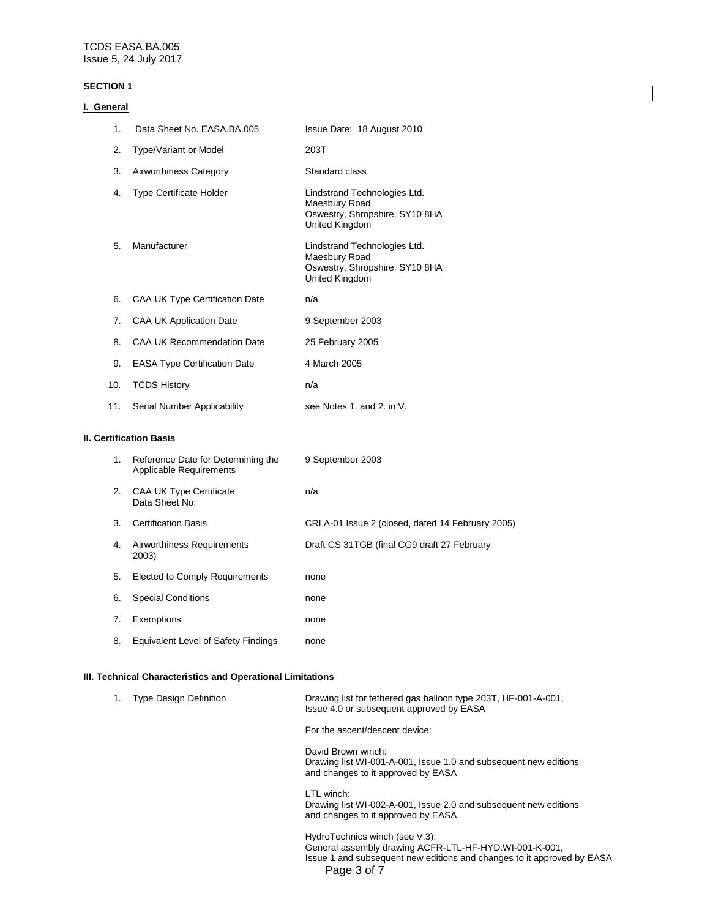#### **SECTION 1**

| General                        |                                     |                                                                                                          |
|--------------------------------|-------------------------------------|----------------------------------------------------------------------------------------------------------|
| 1.                             | Data Sheet No. EASA.BA.005          | Issue Date: 18 August 2010                                                                               |
| 2.                             | Type/Variant or Model               | 203T                                                                                                     |
| 3.                             | Airworthiness Category              | Standard class                                                                                           |
| 4.                             | <b>Type Certificate Holder</b>      | Lindstrand Technologies Ltd.<br>Maesbury Road<br>Oswestry, Shropshire, SY10 8HA<br><b>United Kingdom</b> |
| 5.                             | Manufacturer                        | Lindstrand Technologies Ltd.<br>Maesbury Road<br>Oswestry, Shropshire, SY10 8HA<br><b>United Kingdom</b> |
| 6.                             | CAA UK Type Certification Date      | n/a                                                                                                      |
| 7.                             | <b>CAA UK Application Date</b>      | 9 September 2003                                                                                         |
| 8.                             | <b>CAA UK Recommendation Date</b>   | 25 February 2005                                                                                         |
| 9.                             | <b>EASA Type Certification Date</b> | 4 March 2005                                                                                             |
| 10.                            | <b>TCDS History</b>                 | n/a                                                                                                      |
| 11.                            | Serial Number Applicability         | see Notes 1, and 2, in V.                                                                                |
| <b>II. Certification Basis</b> |                                     |                                                                                                          |

#### **II. Certification Basis**

| 1. | Reference Date for Determining the<br>Applicable Requirements | 9 September 2003                                  |
|----|---------------------------------------------------------------|---------------------------------------------------|
| 2. | <b>CAA UK Type Certificate</b><br>Data Sheet No.              | n/a                                               |
| 3. | <b>Certification Basis</b>                                    | CRI A-01 Issue 2 (closed, dated 14 February 2005) |
| 4. | Airworthiness Requirements<br>2003)                           | Draft CS 31TGB (final CG9 draft 27 February       |
| 5. | Elected to Comply Requirements                                | none                                              |
| 6. | <b>Special Conditions</b>                                     | none                                              |
| 7. | Exemptions                                                    | none                                              |
| 8. | Equivalent Level of Safety Findings                           | none                                              |

#### **III. Technical Characteristics and Operational Limitations**

| <b>Type Design Definition</b> | Drawing list for tethered gas balloon type 203T, HF-001-A-001,<br>Issue 4.0 or subsequent approved by EASA                   |
|-------------------------------|------------------------------------------------------------------------------------------------------------------------------|
|                               | For the ascent/descent device:                                                                                               |
|                               | David Brown winch:<br>Drawing list WI-001-A-001, Issue 1.0 and subsequent new editions<br>and changes to it approved by EASA |
|                               | LTL winch:<br>Drawing list WI-002-A-001, Issue 2.0 and subsequent new editions<br>and changes to it approved by EASA         |
|                               | HydroTechnics winch (see V.3):                                                                                               |

Page 3 of 7 General assembly drawing ACFR-LTL-HF-HYD.WI-001-K-001, Issue 1 and subsequent new editions and changes to it approved by EASA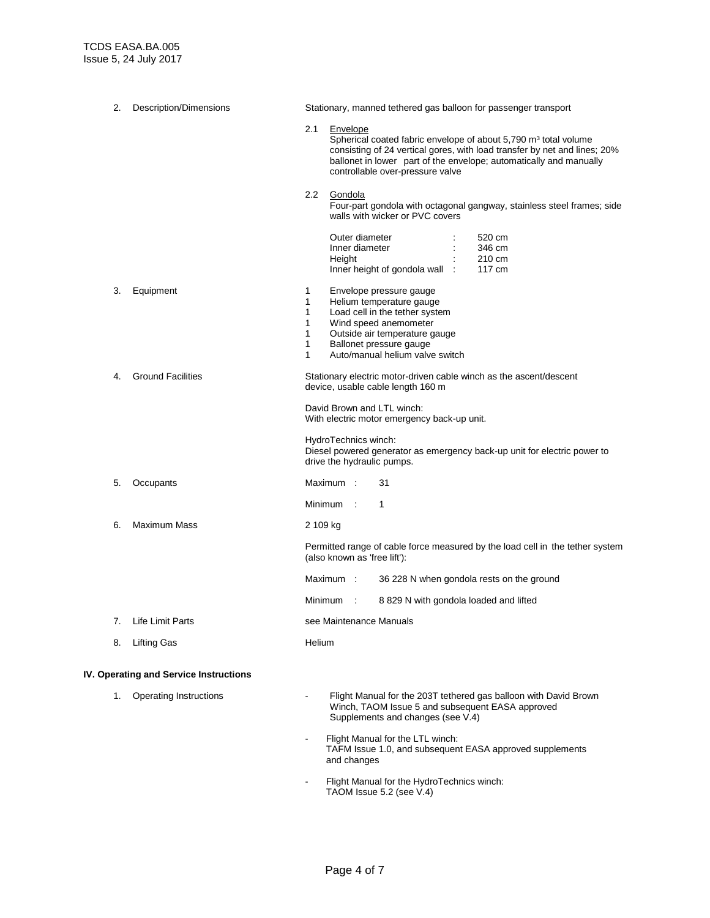| 2. | Description/Dimensions                 | Stationary, manned tethered gas balloon for passenger transport                                                                                                                                                                                                                       |
|----|----------------------------------------|---------------------------------------------------------------------------------------------------------------------------------------------------------------------------------------------------------------------------------------------------------------------------------------|
|    |                                        | 2.1<br>Envelope<br>Spherical coated fabric envelope of about 5,790 m <sup>3</sup> total volume<br>consisting of 24 vertical gores, with load transfer by net and lines; 20%<br>ballonet in lower part of the envelope; automatically and manually<br>controllable over-pressure valve |
|    |                                        | $2.2\phantom{0}$<br>Gondola<br>Four-part gondola with octagonal gangway, stainless steel frames; side<br>walls with wicker or PVC covers                                                                                                                                              |
|    |                                        | Outer diameter<br>520 cm<br>Inner diameter<br>346 cm<br>Height<br>210 cm<br>117 cm<br>Inner height of gondola wall :                                                                                                                                                                  |
| 3. | Equipment                              | 1<br>Envelope pressure gauge<br>Helium temperature gauge<br>1<br>1<br>Load cell in the tether system<br>Wind speed anemometer<br>1<br>Outside air temperature gauge<br>1<br>Ballonet pressure gauge<br>1<br>Auto/manual helium valve switch<br>1                                      |
| 4. | <b>Ground Facilities</b>               | Stationary electric motor-driven cable winch as the ascent/descent<br>device, usable cable length 160 m<br>David Brown and LTL winch:<br>With electric motor emergency back-up unit.                                                                                                  |
|    |                                        | HydroTechnics winch:<br>Diesel powered generator as emergency back-up unit for electric power to<br>drive the hydraulic pumps.                                                                                                                                                        |
| 5. | Occupants                              | Maximum:<br>31                                                                                                                                                                                                                                                                        |
|    |                                        | Minimum :<br>1                                                                                                                                                                                                                                                                        |
| 6. | Maximum Mass                           | 2 109 kg                                                                                                                                                                                                                                                                              |
|    |                                        | Permitted range of cable force measured by the load cell in the tether system<br>(also known as 'free lift'):                                                                                                                                                                         |
|    |                                        | Maximum:<br>36 228 N when gondola rests on the ground                                                                                                                                                                                                                                 |
|    |                                        | 8 829 N with gondola loaded and lifted<br>Minimum :                                                                                                                                                                                                                                   |
|    | 7. Life Limit Parts                    | see Maintenance Manuals                                                                                                                                                                                                                                                               |
| 8. | Lifting Gas                            | Helium                                                                                                                                                                                                                                                                                |
|    | IV. Operating and Service Instructions |                                                                                                                                                                                                                                                                                       |
| 1. | <b>Operating Instructions</b>          | Flight Manual for the 203T tethered gas balloon with David Brown<br>Winch, TAOM Issue 5 and subsequent EASA approved<br>Supplements and changes (see V.4)                                                                                                                             |

- Flight Manual for the LTL winch: TAFM Issue 1.0, and subsequent EASA approved supplements and changes
- Flight Manual for the HydroTechnics winch: TAOM Issue 5.2 (see V.4)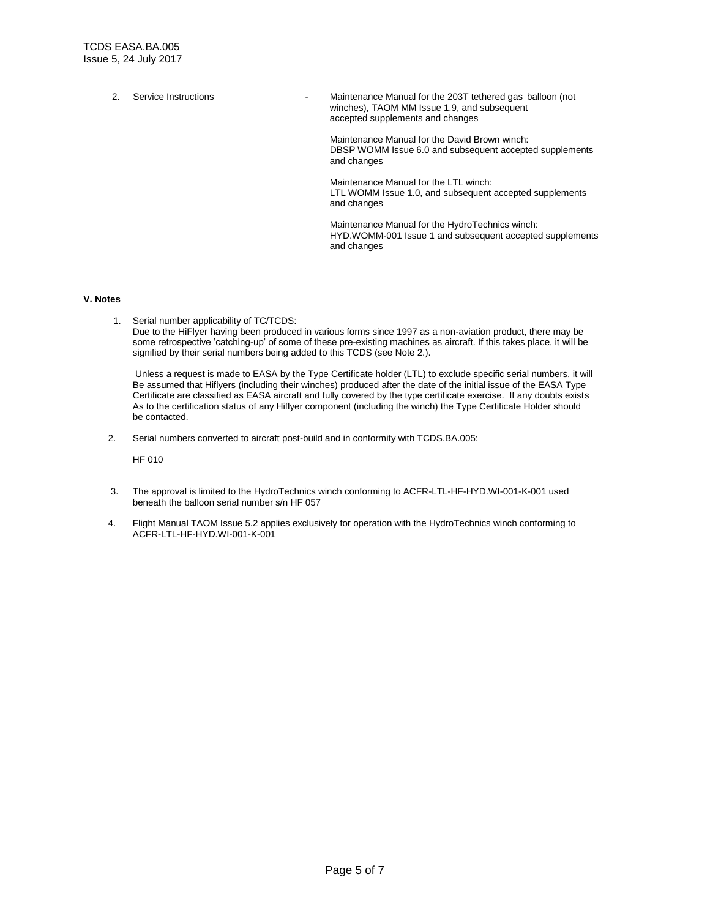2. Service Instructions **- Maintenance Manual for the 203T tethered gas balloon (not** winches), TAOM MM Issue 1.9, and subsequent

accepted supplements and changes

Maintenance Manual for the David Brown winch: DBSP WOMM Issue 6.0 and subsequent accepted supplements and changes

Maintenance Manual for the LTL winch: LTL WOMM Issue 1.0, and subsequent accepted supplements and changes

Maintenance Manual for the HydroTechnics winch: HYD.WOMM-001 Issue 1 and subsequent accepted supplements and changes

#### **V. Notes**

 1. Serial number applicability of TC/TCDS: Due to the HiFlyer having been produced in various forms since 1997 as a non-aviation product, there may be some retrospective 'catching-up' of some of these pre-existing machines as aircraft. If this takes place, it will be signified by their serial numbers being added to this TCDS (see Note 2.).

Unless a request is made to EASA by the Type Certificate holder (LTL) to exclude specific serial numbers, it will Be assumed that Hiflyers (including their winches) produced after the date of the initial issue of the EASA Type Certificate are classified as EASA aircraft and fully covered by the type certificate exercise. If any doubts exists As to the certification status of any Hiflyer component (including the winch) the Type Certificate Holder should be contacted.

2. Serial numbers converted to aircraft post-build and in conformity with TCDS.BA.005:

HF 010

- 3. The approval is limited to the HydroTechnics winch conforming to ACFR-LTL-HF-HYD.WI-001-K-001 used beneath the balloon serial number s/n HF 057
- 4. Flight Manual TAOM Issue 5.2 applies exclusively for operation with the HydroTechnics winch conforming to ACFR-LTL-HF-HYD.WI-001-K-001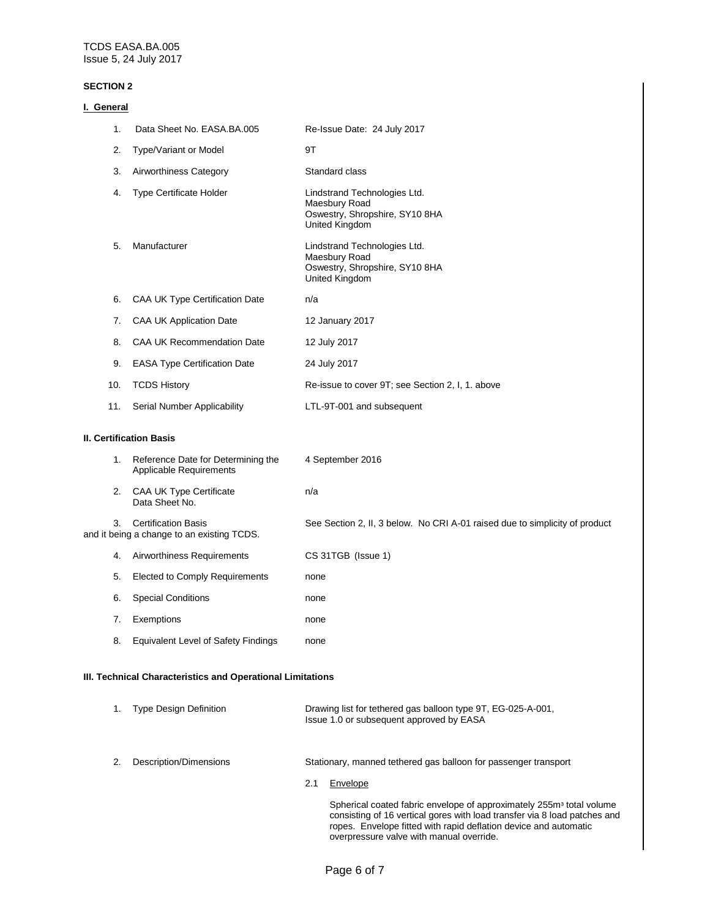#### **SECTION 2**

| I. General                     |                                                                          |                                                                                                          |
|--------------------------------|--------------------------------------------------------------------------|----------------------------------------------------------------------------------------------------------|
| 1.                             | Data Sheet No. EASA.BA.005                                               | Re-Issue Date: 24 July 2017                                                                              |
| 2.                             | Type/Variant or Model                                                    | 9T                                                                                                       |
| 3.                             | Airworthiness Category                                                   | Standard class                                                                                           |
| 4.                             | <b>Type Certificate Holder</b>                                           | Lindstrand Technologies Ltd.<br>Maesbury Road<br>Oswestry, Shropshire, SY10 8HA<br>United Kingdom        |
| 5.                             | Manufacturer                                                             | Lindstrand Technologies Ltd.<br>Maesbury Road<br>Oswestry, Shropshire, SY10 8HA<br><b>United Kingdom</b> |
| 6.                             | CAA UK Type Certification Date                                           | n/a                                                                                                      |
| 7.                             | <b>CAA UK Application Date</b>                                           | 12 January 2017                                                                                          |
| 8.                             | <b>CAA UK Recommendation Date</b>                                        | 12 July 2017                                                                                             |
| 9.                             | <b>EASA Type Certification Date</b>                                      | 24 July 2017                                                                                             |
| 10.                            | <b>TCDS History</b>                                                      | Re-issue to cover 9T; see Section 2, I, 1. above                                                         |
| 11.                            | Serial Number Applicability                                              | LTL-9T-001 and subsequent                                                                                |
| <b>II. Certification Basis</b> |                                                                          |                                                                                                          |
| 1.                             | Reference Date for Determining the<br>Applicable Requirements            | 4 September 2016                                                                                         |
| 2.                             | CAA UK Type Certificate<br>Data Sheet No.                                | n/a                                                                                                      |
| 3.                             | <b>Certification Basis</b><br>and it being a change to an existing TCDS. | See Section 2, II, 3 below. No CRI A-01 raised due to simplicity of product                              |
| 4.                             | Airworthiness Requirements                                               | CS 31TGB (Issue 1)                                                                                       |
| 5.                             | Elected to Comply Requirements                                           | none                                                                                                     |
| 6.                             | <b>Special Conditions</b>                                                | none                                                                                                     |
| 7.                             | Exemptions                                                               | none                                                                                                     |
| 8.                             | <b>Equivalent Level of Safety Findings</b>                               | none                                                                                                     |

#### **III. Technical Characteristics and Operational Limitations**

| <b>Type Design Definition</b> |     | Drawing list for tethered gas balloon type 9T, EG-025-A-001,<br>Issue 1.0 or subsequent approved by EASA                                                                                                                          |
|-------------------------------|-----|-----------------------------------------------------------------------------------------------------------------------------------------------------------------------------------------------------------------------------------|
| Description/Dimensions        |     | Stationary, manned tethered gas balloon for passenger transport                                                                                                                                                                   |
|                               | 2.1 | Envelope                                                                                                                                                                                                                          |
|                               |     | Spherical coated fabric envelope of approximately 255m <sup>3</sup> total volume<br>consisting of 16 vertical gores with load transfer via 8 load patches and<br>ropes. Envelope fitted with rapid deflation device and automatic |

overpressure valve with manual override.